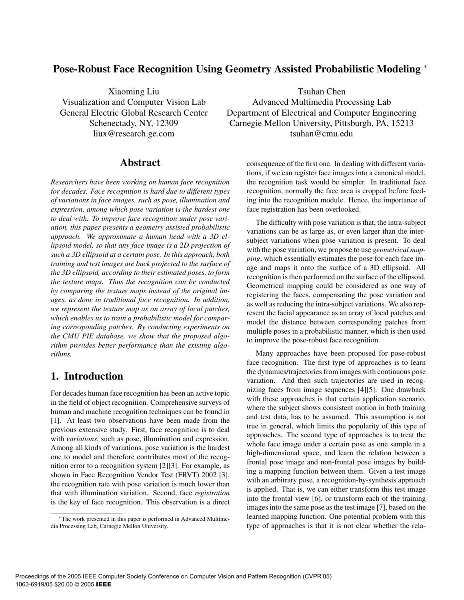## **Pose-Robust Face Recognition Using Geometry Assisted Probabilistic Modeling** <sup>∗</sup>

Xiaoming Liu Visualization and Computer Vision Lab General Electric Global Research Center Schenectady, NY, 12309 liux@research.ge.com

## **Abstract**

*Researchers have been working on human face recognition for decades. Face recognition is hard due to different types of variations in face images, such as pose, illumination and expression, among which pose variation is the hardest one to deal with. To improve face recognition under pose variation, this paper presents a geometry assisted probabilistic approach. We approximate a human head with a 3D ellipsoid model, so that any face image is a 2D projection of such a 3D ellipsoid at a certain pose. In this approach, both training and test images are back projected to the surface of the 3D ellipsoid, according to their estimated poses, to form the texture maps. Thus the recognition can be conducted by comparing the texture maps instead of the original images, as done in traditional face recognition. In addition, we represent the texture map as an array of local patches, which enables us to train a probabilistic model for comparing corresponding patches. By conducting experiments on the CMU PIE database, we show that the proposed algorithm provides better performance than the existing algorithms.*

# **1. Introduction**

For decades human face recognition has been an active topic in the field of object recognition. Comprehensive surveys of human and machine recognition techniques can be found in [1]. At least two observations have been made from the previous extensive study. First, face recognition is to deal with *variations*, such as pose, illumination and expression. Among all kinds of variations, pose variation is the hardest one to model and therefore contributes most of the recognition error to a recognition system [2][3]. For example, as shown in Face Recognition Vendor Test (FRVT) 2002 [3], the recognition rate with pose variation is much lower than that with illumination variation. Second, face *registration* is the key of face recognition. This observation is a direct

Tsuhan Chen Advanced Multimedia Processing Lab Department of Electrical and Computer Engineering Carnegie Mellon University, Pittsburgh, PA, 15213 tsuhan@cmu.edu

> consequence of the first one. In dealing with different variations, if we can register face images into a canonical model, the recognition task would be simpler. In traditional face recognition, normally the face area is cropped before feeding into the recognition module. Hence, the importance of face registration has been overlooked.

> The difficulty with pose variation is that, the intra-subject variations can be as large as, or even larger than the intersubject variations when pose variation is present. To deal with the pose variation, we propose to use *geometrical mapping*, which essentially estimates the pose for each face image and maps it onto the surface of a 3D ellipsoid. All recognition is then performed on the surface of the ellipsoid. Geometrical mapping could be considered as one way of registering the faces, compensating the pose variation and as well as reducing the intra-subject variations. We also represent the facial appearance as an array of local patches and model the distance between corresponding patches from multiple poses in a probabilistic manner, which is then used to improve the pose-robust face recognition.

> Many approaches have been proposed for pose-robust face recognition. The first type of approaches is to learn the dynamics/trajectories from images with continuous pose variation. And then such trajectories are used in recognizing faces from image sequences [4][5]. One drawback with these approaches is that certain application scenario, where the subject shows consistent motion in both training and test data, has to be assumed. This assumption is not true in general, which limits the popularity of this type of approaches. The second type of approaches is to treat the whole face image under a certain pose as one sample in a high-dimensional space, and learn the relation between a frontal pose image and non-frontal pose images by building a mapping function between them. Given a test image with an arbitrary pose, a recognition-by-synthesis approach is applied. That is, we can either transform this test image into the frontal view [6], or transform each of the training images into the same pose as the test image [7], based on the learned mapping function. One potential problem with this type of approaches is that it is not clear whether the rela-

<sup>∗</sup>The work presented in this paper is performed in Advanced Multimedia Processing Lab, Carnegie Mellon University.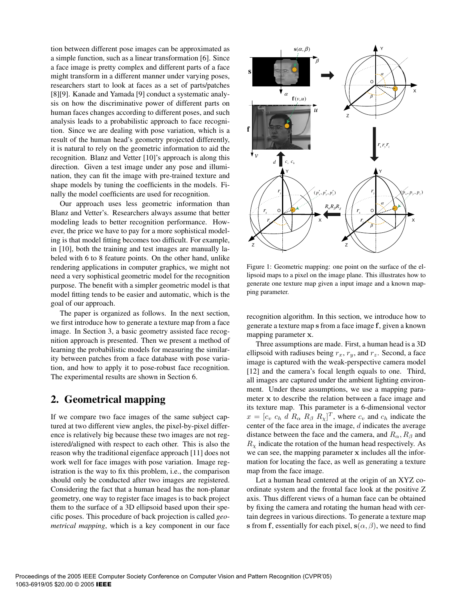tion between different pose images can be approximated as a simple function, such as a linear transformation [6]. Since a face image is pretty complex and different parts of a face might transform in a different manner under varying poses, researchers start to look at faces as a set of parts/patches [8][9]. Kanade and Yamada [9] conduct a systematic analysis on how the discriminative power of different parts on human faces changes according to different poses, and such analysis leads to a probabilistic approach to face recognition. Since we are dealing with pose variation, which is a result of the human head's geometry projected differently, it is natural to rely on the geometric information to aid the recognition. Blanz and Vetter [10]'s approach is along this direction. Given a test image under any pose and illumination, they can fit the image with pre-trained texture and shape models by tuning the coefficients in the models. Finally the model coefficients are used for recognition.

Our approach uses less geometric information than Blanz and Vetter's. Researchers always assume that better modeling leads to better recognition performance. However, the price we have to pay for a more sophistical modeling is that model fitting becomes too difficult. For example, in [10], both the training and test images are manually labeled with 6 to 8 feature points. On the other hand, unlike rendering applications in computer graphics, we might not need a very sophistical geometric model for the recognition purpose. The benefit with a simpler geometric model is that model fitting tends to be easier and automatic, which is the goal of our approach.

The paper is organized as follows. In the next section, we first introduce how to generate a texture map from a face image. In Section 3, a basic geometry assisted face recognition approach is presented. Then we present a method of learning the probabilistic models for measuring the similarity between patches from a face database with pose variation, and how to apply it to pose-robust face recognition. The experimental results are shown in Section 6.

# **2. Geometrical mapping**

If we compare two face images of the same subject captured at two different view angles, the pixel-by-pixel difference is relatively big because these two images are not registered/aligned with respect to each other. This is also the reason why the traditional eigenface approach [11] does not work well for face images with pose variation. Image registration is the way to fix this problem, i.e., the comparison should only be conducted after two images are registered. Considering the fact that a human head has the non-planar geometry, one way to register face images is to back project them to the surface of a 3D ellipsoid based upon their specific poses. This procedure of back projection is called *geometrical mapping*, which is a key component in our face



Figure 1: Geometric mapping: one point on the surface of the ellipsoid maps to a pixel on the image plane. This illustrates how to generate one texture map given a input image and a known mapping parameter.

recognition algorithm. In this section, we introduce how to generate a texture map **s** from a face image **f**, given a known mapping parameter **x**.

Three assumptions are made. First, a human head is a 3D ellipsoid with radiuses being  $r_x$ ,  $r_y$ , and  $r_z$ . Second, a face image is captured with the weak-perspective camera model [12] and the camera's focal length equals to one. Third, all images are captured under the ambient lighting environment. Under these assumptions, we use a mapping parameter **x** to describe the relation between a face image and its texture map. This parameter is a 6-dimensional vector  $x = [c_v \ c_h \ d \ R_{\alpha} \ R_{\beta} \ R_{\chi}]^T$ , where  $c_v$  and  $c_h$  indicate the center of the face area in the image,  $d$  indicates the average distance between the face and the camera, and  $R_{\alpha}$ ,  $R_{\beta}$  and  $R<sub>x</sub>$  indicate the rotation of the human head respectively. As we can see, the mapping parameter **x** includes all the information for locating the face, as well as generating a texture map from the face image.

Let a human head centered at the origin of an XYZ coordinate system and the frontal face look at the positive Z axis. Thus different views of a human face can be obtained by fixing the camera and rotating the human head with certain degrees in various directions. To generate a texture map **s** from **f**, essentially for each pixel,  $\mathbf{s}(\alpha, \beta)$ , we need to find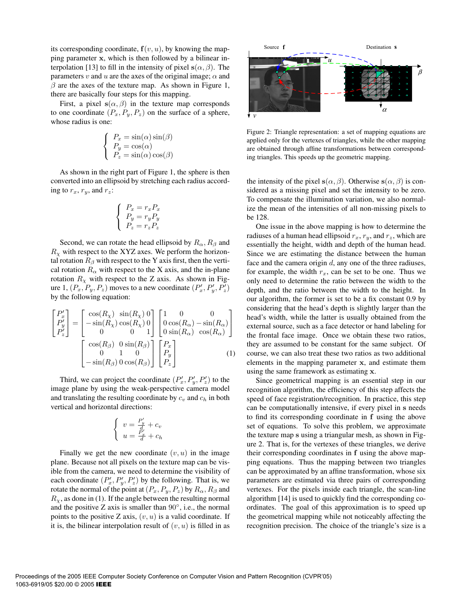its corresponding coordinate,  $f(v, u)$ , by knowing the mapping parameter **x**, which is then followed by a bilinear interpolation [13] to fill in the intensity of pixel  $\mathbf{s}(\alpha, \beta)$ . The parameters v and u are the axes of the original image;  $\alpha$  and  $\beta$  are the axes of the texture map. As shown in Figure 1, there are basically four steps for this mapping.

First, a pixel  $\mathbf{s}(\alpha, \beta)$  in the texture map corresponds to one coordinate  $(P_x, P_y, P_z)$  on the surface of a sphere, whose radius is one:

$$
\begin{cases}\nP_x = \sin(\alpha)\sin(\beta) \\
P_y = \cos(\alpha) \\
P_z = \sin(\alpha)\cos(\beta)\n\end{cases}
$$

As shown in the right part of Figure 1, the sphere is then converted into an ellipsoid by stretching each radius according to  $r_x$ ,  $r_y$ , and  $r_z$ :

$$
\left\{ \begin{array}{l} P_x=r_xP_x \\ P_y=r_yP_y \\ P_z=r_zP_z \end{array} \right.
$$

Second, we can rotate the head ellipsoid by  $R_{\alpha}$ ,  $R_{\beta}$  and  $R<sub>x</sub>$  with respect to the XYZ axes. We perform the horizontal rotation  $R_\beta$  with respect to the Y axis first, then the vertical rotation  $R_{\alpha}$  with respect to the X axis, and the in-plane rotation  $R<sub>x</sub>$  with respect to the Z axis. As shown in Figure 1,  $(P_x, P_y, P_z)$  moves to a new coordinate  $(P'_x, P'_y, P'_z)$ by the following equation:

$$
\begin{bmatrix}\nP_x' \\
P_y' \\
P_z'\n\end{bmatrix} = \begin{bmatrix}\n\cos(R_\chi) & \sin(R_\chi) & 0 \\
-\sin(R_\chi) & \cos(R_\chi) & 0 \\
0 & 0 & 1\n\end{bmatrix} \begin{bmatrix}\n1 & 0 & 0 \\
0 & \cos(R_\alpha) & -\sin(R_\alpha) \\
0 & \sin(R_\alpha) & \cos(R_\alpha)\n\end{bmatrix}
$$
\n
$$
\begin{bmatrix}\n\cos(R_\beta) & 0 & \sin(R_\beta) \\
0 & 1 & 0 \\
-\sin(R_\beta) & 0 & \cos(R_\beta)\n\end{bmatrix} \begin{bmatrix}\nP_x \\
P_y \\
P_z\n\end{bmatrix}
$$
\n(1)

Third, we can project the coordinate  $(P'_x, P'_y, P'_z)$  to the image plane by using the weak-perspective camera model and translating the resulting coordinate by  $c_v$  and  $c_h$  in both vertical and horizontal directions:

$$
\begin{cases}\nv = \frac{P'_y}{d} + c_v \\
u = \frac{P'_x}{d} + c_h\n\end{cases}
$$

Finally we get the new coordinate  $(v, u)$  in the image plane. Because not all pixels on the texture map can be visible from the camera, we need to determine the visibility of each coordinate  $(P'_x, P'_y, P'_z)$  by the following. That is, we rotate the normal of the point at  $(P_x, P_y, P_z)$  by  $R_\alpha, R_\beta$  and  $R<sub>x</sub>$ , as done in (1). If the angle between the resulting normal and the positive Z axis is smaller than  $90^\circ$ , i.e., the normal points to the positive Z axis,  $(v, u)$  is a valid coordinate. If it is, the bilinear interpolation result of  $(v, u)$  is filled in as



Figure 2: Triangle representation: a set of mapping equations are applied only for the vertexes of triangles, while the other mapping are obtained through affine transformations between corresponding triangles. This speeds up the geometric mapping.

the intensity of the pixel  $\mathbf{s}(\alpha, \beta)$ . Otherwise  $\mathbf{s}(\alpha, \beta)$  is considered as a missing pixel and set the intensity to be zero. To compensate the illumination variation, we also normalize the mean of the intensities of all non-missing pixels to be 128.

One issue in the above mapping is how to determine the radiuses of a human head ellipsoid  $r_x, r_y$ , and  $r_z$ , which are essentially the height, width and depth of the human head. Since we are estimating the distance between the human face and the camera origin  $d$ , any one of the three radiuses, for example, the width  $r_x$ , can be set to be one. Thus we only need to determine the ratio between the width to the depth, and the ratio between the width to the height. In our algorithm, the former is set to be a fix constant 0.9 by considering that the head's depth is slightly larger than the head's width, while the latter is usually obtained from the external source, such as a face detector or hand labeling for the frontal face image. Once we obtain these two ratios, they are assumed to be constant for the same subject. Of course, we can also treat these two ratios as two additional elements in the mapping parameter **x**, and estimate them using the same framework as estimating **x**.

Since geometrical mapping is an essential step in our recognition algorithm, the efficiency of this step affects the speed of face registration/recognition. In practice, this step can be computationally intensive, if every pixel in **s** needs to find its corresponding coordinate in **f** using the above set of equations. To solve this problem, we approximate the texture map **s** using a triangular mesh, as shown in Figure 2. That is, for the vertexes of these triangles, we derive their corresponding coordinates in **f** using the above mapping equations. Thus the mapping between two triangles can be approximated by an affine transformation, whose six parameters are estimated via three pairs of corresponding vertexes. For the pixels inside each triangle, the scan-line algorithm [14] is used to quickly find the corresponding coordinates. The goal of this approximation is to speed up the geometrical mapping while not noticeably affecting the recognition precision. The choice of the triangle's size is a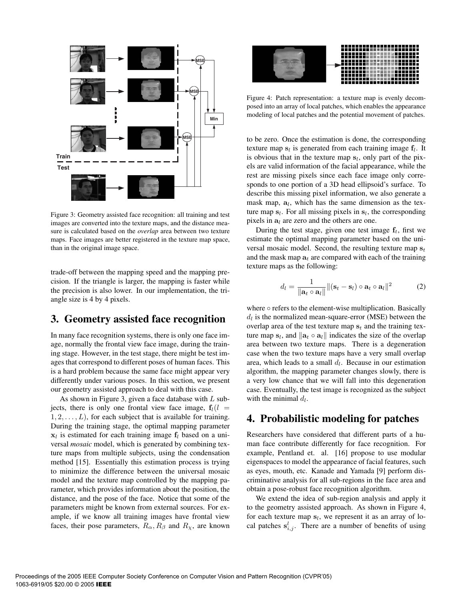

Figure 3: Geometry assisted face recognition: all training and test images are converted into the texture maps, and the distance measure is calculated based on the *overlap* area between two texture maps. Face images are better registered in the texture map space, than in the original image space.

trade-off between the mapping speed and the mapping precision. If the triangle is larger, the mapping is faster while the precision is also lower. In our implementation, the triangle size is 4 by 4 pixels.

#### **3. Geometry assisted face recognition**

In many face recognition systems, there is only one face image, normally the frontal view face image, during the training stage. However, in the test stage, there might be test images that correspond to different poses of human faces. This is a hard problem because the same face might appear very differently under various poses. In this section, we present our geometry assisted approach to deal with this case.

As shown in Figure 3, given a face database with  $L$  subjects, there is only one frontal view face image,  $f_l(l)$  $1, 2, \ldots, L$ , for each subject that is available for training. During the training stage, the optimal mapping parameter  $x_l$  is estimated for each training image  $f_l$  based on a universal *mosaic* model, which is generated by combining texture maps from multiple subjects, using the condensation method [15]. Essentially this estimation process is trying to minimize the difference between the universal mosaic model and the texture map controlled by the mapping parameter, which provides information about the position, the distance, and the pose of the face. Notice that some of the parameters might be known from external sources. For example, if we know all training images have frontal view faces, their pose parameters,  $R_{\alpha}$ ,  $R_{\beta}$  and  $R_{\chi}$ , are known



Figure 4: Patch representation: a texture map is evenly decomposed into an array of local patches, which enables the appearance modeling of local patches and the potential movement of patches.

to be zero. Once the estimation is done, the corresponding texture map  $s_l$  is generated from each training image  $f_l$ . It is obvious that in the texture map  $s_l$ , only part of the pixels are valid information of the facial appearance, while the rest are missing pixels since each face image only corresponds to one portion of a 3D head ellipsoid's surface. To describe this missing pixel information, we also generate a mask map,  $a_l$ , which has the same dimension as the texture map  $s_l$ . For all missing pixels in  $s_l$ , the corresponding pixels in  $a_l$  are zero and the others are one.

During the test stage, given one test image  $f_t$ , first we estimate the optimal mapping parameter based on the universal mosaic model. Second, the resulting texture map  $s_t$ and the mask map  $a_t$  are compared with each of the training texture maps as the following:

$$
d_l = \frac{1}{\|\mathbf{a}_t \circ \mathbf{a}_l\|} \|(\mathbf{s}_t - \mathbf{s}_l) \circ \mathbf{a}_t \circ \mathbf{a}_l\|^2 \tag{2}
$$

where  $\circ$  refers to the element-wise multiplication. Basically  $d_l$  is the normalized mean-square-error (MSE) between the overlap area of the test texture map  $s_t$  and the training texture map  $\mathbf{s}_l$ , and  $\|\mathbf{a}_t \circ \mathbf{a}_l\|$  indicates the size of the overlap area between two texture maps. There is a degeneration case when the two texture maps have a very small overlap area, which leads to a small  $d_l$ . Because in our estimation algorithm, the mapping parameter changes slowly, there is a very low chance that we will fall into this degeneration case. Eventually, the test image is recognized as the subject with the minimal  $d_l$ .

#### **4. Probabilistic modeling for patches**

Researchers have considered that different parts of a human face contribute differently for face recognition. For example, Pentland et. al. [16] propose to use modular eigenspaces to model the appearance of facial features, such as eyes, mouth, etc. Kanade and Yamada [9] perform discriminative analysis for all sub-regions in the face area and obtain a pose-robust face recognition algorithm.

We extend the idea of sub-region analysis and apply it to the geometry assisted approach. As shown in Figure 4, for each texture map  $s_l$ , we represent it as an array of local patches  $s_{i,j}^l$ . There are a number of benefits of using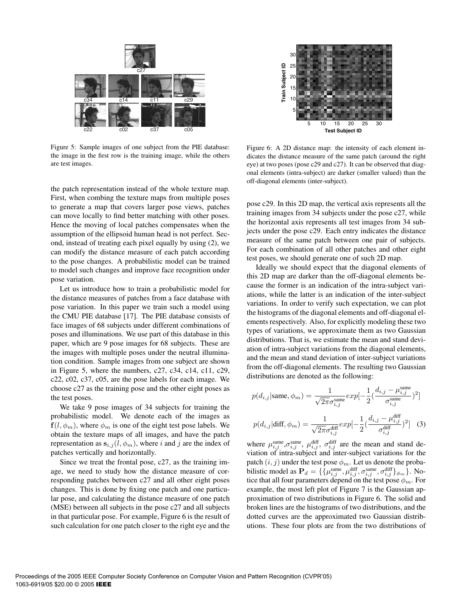

Figure 5: Sample images of one subject from the PIE database: the image in the first row is the training image, while the others are test images.

the patch representation instead of the whole texture map. First, when combing the texture maps from multiple poses to generate a map that covers larger pose views, patches can move locally to find better matching with other poses. Hence the moving of local patches compensates when the assumption of the ellipsoid human head is not perfect. Second, instead of treating each pixel equally by using (2), we can modify the distance measure of each patch according to the pose changes. A probabilistic model can be trained to model such changes and improve face recognition under pose variation.

Let us introduce how to train a probabilistic model for the distance measures of patches from a face database with pose variation. In this paper we train such a model using the CMU PIE database [17]. The PIE database consists of face images of 68 subjects under different combinations of poses and illuminations. We use part of this database in this paper, which are 9 pose images for 68 subjects. These are the images with multiple poses under the neutral illumination condition. Sample images from one subject are shown in Figure 5, where the numbers, c27, c34, c14, c11, c29, c22, c02, c37, c05, are the pose labels for each image. We choose c27 as the training pose and the other eight poses as the test poses.

We take 9 pose images of 34 subjects for training the probabilistic model. We denote each of the images as  $f(l, \phi_m)$ , where  $\phi_m$  is one of the eight test pose labels. We obtain the texture maps of all images, and have the patch representation as  $\mathbf{s}_{i,j}(l, \phi_m)$ , where i and j are the index of patches vertically and horizontally.

Since we treat the frontal pose, c27, as the training image, we need to study how the distance measure of corresponding patches between c27 and all other eight poses changes. This is done by fixing one patch and one particular pose, and calculating the distance measure of one patch (MSE) between all subjects in the pose c27 and all subjects in that particular pose. For example, Figure 6 is the result of such calculation for one patch closer to the right eye and the



Figure 6: A 2D distance map: the intensity of each element indicates the distance measure of the same patch (around the right eye) at two poses (pose c29 and c27). It can be observed that diagonal elements (intra-subject) are darker (smaller valued) than the off-diagonal elements (inter-subject).

pose c29. In this 2D map, the vertical axis represents all the training images from 34 subjects under the pose c27, while the horizontal axis represents all test images from 34 subjects under the pose c29. Each entry indicates the distance measure of the same patch between one pair of subjects. For each combination of all other patches and other eight test poses, we should generate one of such 2D map.

Ideally we should expect that the diagonal elements of this 2D map are darker than the off-diagonal elements because the former is an indication of the intra-subject variations, while the latter is an indication of the inter-subject variations. In order to verify such expectation, we can plot the histograms of the diagonal elements and off-diagonal elements respectively. Also, for explicitly modeling these two types of variations, we approximate them as two Gaussian distributions. That is, we estimate the mean and stand deviation of intra-subject variations from the diagonal elements, and the mean and stand deviation of inter-subject variations from the off-diagonal elements. The resulting two Gaussian distributions are denoted as the following:

$$
p(d_{i,j}|\text{same}, \phi_m) = \frac{1}{\sqrt{2\pi}\sigma_{i,j}^{\text{same}}} exp[-\frac{1}{2}(\frac{d_{i,j} - \mu_{i,j}^{\text{same}}}{\sigma_{i,j}^{\text{same}}})^2]
$$

$$
p(d_{i,j}|\text{diff}, \phi_m) = \frac{1}{\sqrt{2\pi}\sigma_{i,j}^{\text{diff}}} exp[-\frac{1}{2}(\frac{d_{i,j} - \mu_{i,j}^{\text{diff}}}{\sigma_{i,j}^{\text{diff}}})^2] \quad (3)
$$

where  $\mu_{i,j}^{\text{same}}, \sigma_{i,j}^{\text{same}}, \mu_{i,j}^{\text{diff}}, \sigma_{i,j}^{\text{diff}}$  are the mean and stand deviation of intra-subject and inter-subject variations for the patch  $(i, j)$  under the test pose  $\phi_m$ . Let us denote the probabilistic model as  $\mathbf{P}_d = \{\{\mu_{i,j}^{\text{same}}, \mu_{i,j}^{\text{diff}}, \sigma_{i,j}^{\text{same}}, \sigma_{i,j}^{\text{diff}}\}_{\phi_m}\}.$  Notice that all four parameters depend on the test pose  $\phi_m$ . For example, the most left plot of Figure 7 is the Gaussian approximation of two distributions in Figure 6. The solid and broken lines are the histograms of two distributions, and the dotted curves are the approximated two Gaussian distributions. These four plots are from the two distributions of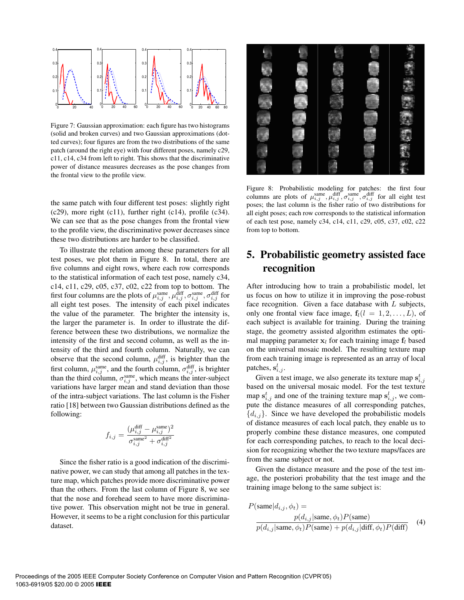

Figure 7: Gaussian approximation: each figure has two histograms (solid and broken curves) and two Gaussian approximations (dotted curves); four figures are from the two distributions of the same patch (around the right eye) with four different poses, namely c29, c11, c14, c34 from left to right. This shows that the discriminative power of distance measures decreases as the pose changes from the frontal view to the profile view.

the same patch with four different test poses: slightly right  $(c29)$ , more right  $(c11)$ , further right  $(c14)$ , profile  $(c34)$ . We can see that as the pose changes from the frontal view to the profile view, the discriminative power decreases since these two distributions are harder to be classified.

To illustrate the relation among these parameters for all test poses, we plot them in Figure 8. In total, there are five columns and eight rows, where each row corresponds to the statistical information of each test pose, namely c34, c14, c11, c29, c05, c37, c02, c22 from top to bottom. The first four columns are the plots of  $\mu_{i,j}^{\text{same}}, \mu_{i,j}^{\text{diff}}, \sigma_{i,j}^{\text{same}}, \sigma_{i,j}^{\text{diff}}$  for all eight test poses. The intensity of each pixel indicates the value of the parameter. The brighter the intensity is, the larger the parameter is. In order to illustrate the difference between these two distributions, we normalize the intensity of the first and second column, as well as the intensity of the third and fourth column. Naturally, we can observe that the second column,  $\mu_{i,j}^{\text{diff}}$ , is brighter than the first column,  $\mu_{i,j}^{\text{same}}$ , and the fourth column,  $\sigma_{i,j}^{\text{diff}}$ , is brighter than the third column,  $\sigma_{i,j}^{\text{same}}$ , which means the inter-subject variations have larger mean and stand deviation than those of the intra-subject variations. The last column is the Fisher ratio [18] between two Gaussian distributions defined as the following:

$$
f_{i,j} = \frac{(\mu_{i,j}^{\text{diff}} - \mu_{i,j}^{\text{same}})^2}{\sigma_{i,j}^{\text{same}^2} + \sigma_{i,j}^{\text{diff}^2}}
$$

Since the fisher ratio is a good indication of the discriminative power, we can study that among all patches in the texture map, which patches provide more discriminative power than the others. From the last column of Figure 8, we see that the nose and forehead seem to have more discriminative power. This observation might not be true in general. However, it seems to be a right conclusion for this particular dataset.



Figure 8: Probabilistic modeling for patches: the first four columns are plots of  $\mu_{i,j}^{\text{same}}, \mu_{i,j}^{\text{diff}}, \sigma_{i,j}^{\text{same}}, \sigma_{i,j}^{\text{diff}}$  for all eight test poses; the last column is the fisher ratio of two distributions for all eight poses; each row corresponds to the statistical information of each test pose, namely c34, c14, c11, c29, c05, c37, c02, c22 from top to bottom.

# **5. Probabilistic geometry assisted face recognition**

After introducing how to train a probabilistic model, let us focus on how to utilize it in improving the pose-robust face recognition. Given a face database with  $L$  subjects, only one frontal view face image,  $f_l(l = 1, 2, \ldots, L)$ , of each subject is available for training. During the training stage, the geometry assisted algorithm estimates the optimal mapping parameter  $x_l$  for each training image  $f_l$  based on the universal mosaic model. The resulting texture map from each training image is represented as an array of local patches,  $s_{i,j}^l$ .

Given a test image, we also generate its texture map  $s_{i,j}^t$ based on the universal mosaic model. For the test texture map  $s_{i,j}^t$  and one of the training texture map  $s_{i,j}^l$ , we compute the distance measures of all corresponding patches,  ${d_{i,j}}$ . Since we have developed the probabilistic models of distance measures of each local patch, they enable us to properly combine these distance measures, one computed for each corresponding patches, to reach to the local decision for recognizing whether the two texture maps/faces are from the same subject or not.

Given the distance measure and the pose of the test image, the posteriori probability that the test image and the training image belong to the same subject is:

$$
P(\text{same}|d_{i,j}, \phi_t) =
$$
  
\n
$$
\frac{p(d_{i,j}|\text{same}, \phi_t)P(\text{same})}{p(d_{i,j}|\text{same}, \phi_t)P(\text{same}) + p(d_{i,j}|\text{diff}, \phi_t)P(\text{diff})}
$$
 (4)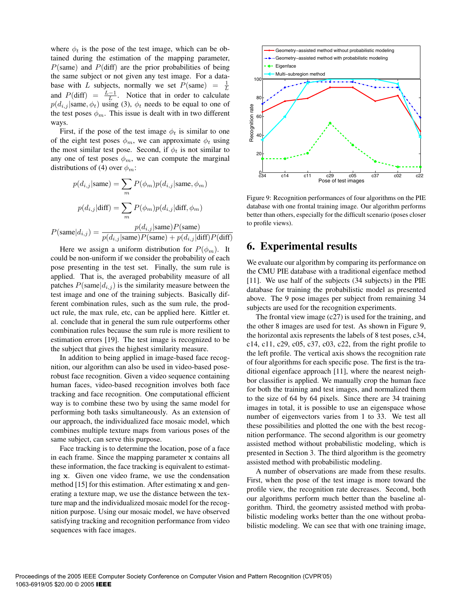where  $\phi_t$  is the pose of the test image, which can be obtained during the estimation of the mapping parameter,  $P$ (same) and  $P$ (diff) are the prior probabilities of being the same subject or not given any test image. For a database with L subjects, normally we set  $P(\text{same}) = \frac{1}{L}$ and  $P(\text{diff}) = \frac{L-1}{L}$ . Notice that in order to calculate  $p(d_{i,j} | \text{same}, \phi_t)$  using (3),  $\phi_t$  needs to be equal to one of the test poses  $\phi_m$ . This issue is dealt with in two different ways.

First, if the pose of the test image  $\phi_t$  is similar to one of the eight test poses  $\phi_m$ , we can approximate  $\phi_t$  using the most similar test pose. Second, if  $\phi_t$  is not similar to any one of test poses  $\phi_m$ , we can compute the marginal distributions of (4) over  $\phi_m$ :

$$
p(d_{i,j}|\text{same}) = \sum_{m} P(\phi_m) p(d_{i,j}|\text{same}, \phi_m)
$$

$$
p(d_{i,j}|\text{diff}) = \sum_{m} P(\phi_m) p(d_{i,j}|\text{diff}, \phi_m)
$$

$$
P(\text{same}|d_{i,j}) = \frac{p(d_{i,j}|\text{same})P(\text{same})}{p(d_{i,j}|\text{same})P(\text{same}) + p(d_{i,j}|\text{diff})P(\text{diff})}
$$

Here we assign a uniform distribution for  $P(\phi_m)$ . It could be non-uniform if we consider the probability of each pose presenting in the test set. Finally, the sum rule is applied. That is, the averaged probability measure of all patches  $P(\text{same}|d_{i,j})$  is the similarity measure between the test image and one of the training subjects. Basically different combination rules, such as the sum rule, the product rule, the max rule, etc, can be applied here. Kittler et. al. conclude that in general the sum rule outperforms other combination rules because the sum rule is more resilient to estimation errors [19]. The test image is recognized to be the subject that gives the highest similarity measure.

In addition to being applied in image-based face recognition, our algorithm can also be used in video-based poserobust face recognition. Given a video sequence containing human faces, video-based recognition involves both face tracking and face recognition. One computational efficient way is to combine these two by using the same model for performing both tasks simultaneously. As an extension of our approach, the individualized face mosaic model, which combines multiple texture maps from various poses of the same subject, can serve this purpose.

Face tracking is to determine the location, pose of a face in each frame. Since the mapping parameter **x** contains all these information, the face tracking is equivalent to estimating **x**. Given one video frame, we use the condensation method [15] for this estimation. After estimating **x** and generating a texture map, we use the distance between the texture map and the individualized mosaic model for the recognition purpose. Using our mosaic model, we have observed satisfying tracking and recognition performance from video sequences with face images.



Figure 9: Recognition performances of four algorithms on the PIE database with one frontal training image. Our algorithm performs better than others, especially for the difficult scenario (poses closer to profile views).

## **6. Experimental results**

We evaluate our algorithm by comparing its performance on the CMU PIE database with a traditional eigenface method [11]. We use half of the subjects (34 subjects) in the PIE database for training the probabilistic model as presented above. The 9 pose images per subject from remaining 34 subjects are used for the recognition experiments.

The frontal view image (c27) is used for the training, and the other 8 images are used for test. As shown in Figure 9, the horizontal axis represents the labels of 8 test poses, c34, c14, c11, c29, c05, c37, c03, c22, from the right profile to the left profile. The vertical axis shows the recognition rate of four algorithms for each specific pose. The first is the traditional eigenface approach [11], where the nearest neighbor classifier is applied. We manually crop the human face for both the training and test images, and normalized them to the size of 64 by 64 pixels. Since there are 34 training images in total, it is possible to use an eigenspace whose number of eigenvectors varies from 1 to 33. We test all these possibilities and plotted the one with the best recognition performance. The second algorithm is our geometry assisted method without probabilistic modeling, which is presented in Section 3. The third algorithm is the geometry assisted method with probabilistic modeling.

A number of observations are made from these results. First, when the pose of the test image is more toward the profile view, the recognition rate decreases. Second, both our algorithms perform much better than the baseline algorithm. Third, the geometry assisted method with probabilistic modeling works better than the one without probabilistic modeling. We can see that with one training image,